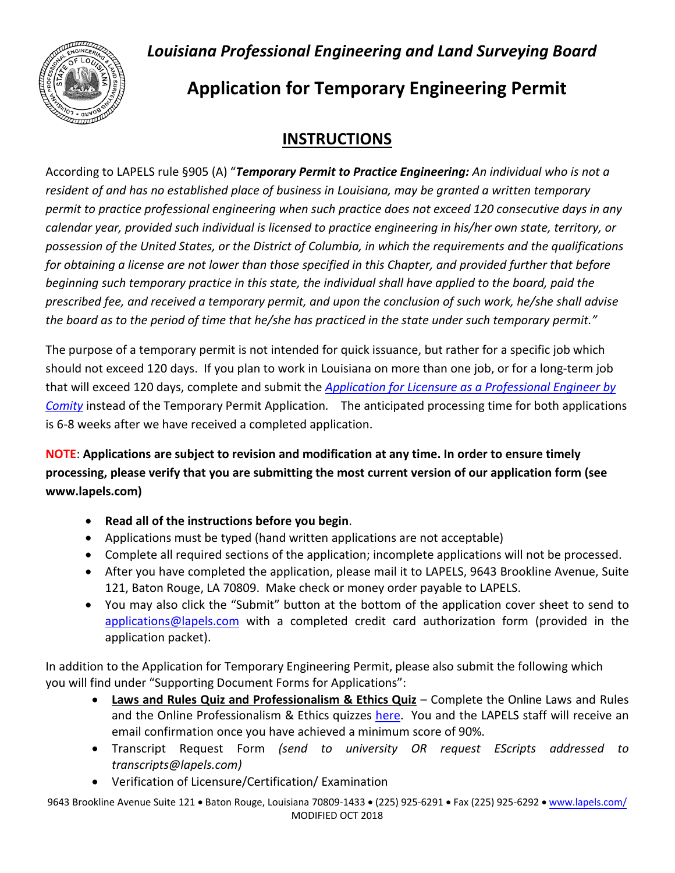## *Louisiana Professional Engineering and Land Surveying Board*



# **Application for Temporary Engineering Permit**

## **INSTRUCTIONS**

According to LAPELS rule §905 (A) "*Temporary Permit to Practice Engineering: An individual who is not a resident of and has no established place of business in Louisiana, may be granted a written temporary permit to practice professional engineering when such practice does not exceed 120 consecutive days in any calendar year, provided such individual is licensed to practice engineering in his/her own state, territory, or possession of the United States, or the District of Columbia, in which the requirements and the qualifications for obtaining a license are not lower than those specified in this Chapter, and provided further that before beginning such temporary practice in this state, the individual shall have applied to the board, paid the prescribed fee, and received a temporary permit, and upon the conclusion of such work, he/she shall advise the board as to the period of time that he/she has practiced in the state under such temporary permit."*

The purpose of a temporary permit is not intended for quick issuance, but rather for a specific job which should not exceed 120 days. If you plan to work in Louisiana on more than one job, or for a long-term job that will exceed 120 days, complete and submit the *[Application for Licensure as a Professional Engineer by](https://www.lapels.com/docs/Applications/pe/PE_Comity_App_with_checklist_AR.pdf)  [Comity](http://www.lapels.com/docs/Applications/pe/PE_Comity_App_with_checklist_AR.pdf)* instead of the Temporary Permit Application*.* The anticipated processing time for both applications is 6-8 weeks after we have received a completed application.

**NOTE**: **Applications are subject to revision and modification at any time. In order to ensure timely processing, please verify that you are submitting the most current version of our application form (see www.lapels.com)**

- **Read all of the instructions before you begin**.
- Applications must be typed (hand written applications are not acceptable)
- Complete all required sections of the application; incomplete applications will not be processed.
- After you have completed the application, please mail it to LAPELS, 9643 Brookline Avenue, Suite 121, Baton Rouge, LA 70809. Make check or money order payable to LAPELS.
- You may also click the "Submit" button at the bottom of the application cover sheet to send to [applications@lapels.com](mailto:applications@lapels.com) with a completed credit card authorization form (provided in the application packet).

In addition to the Application for Temporary Engineering Permit, please also submit the following which you will find under "Supporting Document Forms for Applications":

- **Laws and Rules Quiz and Professionalism & Ethics Quiz**  Complete the Online Laws and Rules and the Online Professionalism & Ethics quizzes [here.](https://www.lapels.com/quiz) You and the LAPELS staff will receive an email confirmation once you have achieved a minimum score of 90%.
- Transcript Request Form *(send to university OR request EScripts addressed to transcripts@lapels.com)*
- Verification of Licensure/Certification/ Examination

9643 Brookline Avenue Suite 121 • Baton Rouge, Louisiana 70809-1433 • (225) 925-6291 • Fax (225) 925-6292 • [www.lapels.com/](http://www.lapels.com/) MODIFIED OCT 2018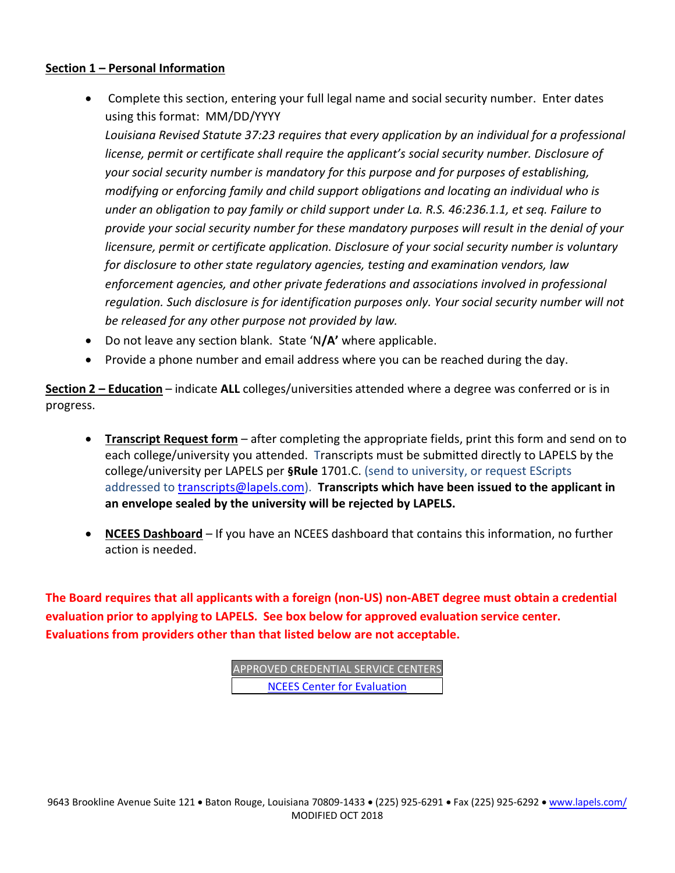#### **Section 1 – Personal Information**

• Complete this section, entering your full legal name and social security number. Enter dates using this format: MM/DD/YYYY

*Louisiana Revised Statute 37:23 requires that every application by an individual for a professional license, permit or certificate shall require the applicant's social security number. Disclosure of your social security number is mandatory for this purpose and for purposes of establishing, modifying or enforcing family and child support obligations and locating an individual who is under an obligation to pay family or child support under La. R.S. 46:236.1.1, et seq. Failure to provide your social security number for these mandatory purposes will result in the denial of your licensure, permit or certificate application. Disclosure of your social security number is voluntary for disclosure to other state regulatory agencies, testing and examination vendors, law enforcement agencies, and other private federations and associations involved in professional regulation. Such disclosure is for identification purposes only. Your social security number will not be released for any other purpose not provided by law.*

- Do not leave any section blank. State 'N**/A'** where applicable.
- Provide a phone number and email address where you can be reached during the day.

**Section 2 – Education** – indicate **ALL** colleges/universities attended where a degree was conferred or is in progress.

- **Transcript Request form** after completing the appropriate fields, print this form and send on to each college/university you attended. Transcripts must be submitted directly to LAPELS by the college/university per LAPELS per **§Rule** 1701.C. (send to university, or request EScripts addressed to [transcripts@lapels.com\)](mailto:transcripts@lapels.com). **Transcripts which have been issued to the applicant in an envelope sealed by the university will be rejected by LAPELS.**
- **NCEES Dashboard** If you have an NCEES dashboard that contains this information, no further action is needed.

**The Board requires that all applicants with a foreign (non-US) non-ABET degree must obtain a credential evaluation prior to applying to LAPELS. See box below for approved evaluation service center. Evaluations from providers other than that listed below are not acceptable.**

> APPROVED CREDENTIAL SERVICE CENTERS [NCEES Center for Evaluation](http://ncees.org/credentials-evaluations/)